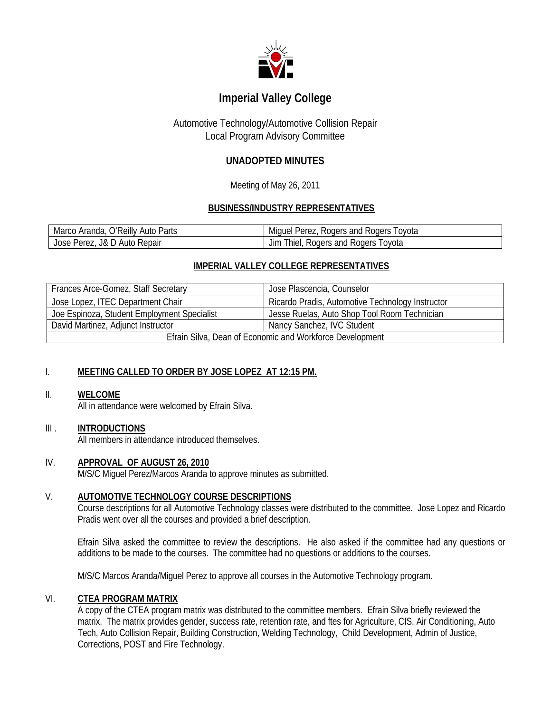

# **Imperial Valley College**

# Automotive Technology/Automotive Collision Repair Local Program Advisory Committee

# **UNADOPTED MINUTES**

Meeting of May 26, 2011

## **BUSINESS/INDUSTRY REPRESENTATIVES**

| Marco Aranda, O'Reilly Auto Parts | Miguel Perez, Rogers and Rogers Toyota |
|-----------------------------------|----------------------------------------|
| Jose Perez, J& D Auto Repair      | Jim Thiel, Rogers and Rogers Toyota    |

# **IMPERIAL VALLEY COLLEGE REPRESENTATIVES**

| <b>Frances Arce-Gomez, Staff Secretary</b>               | Jose Plascencia, Counselor                       |
|----------------------------------------------------------|--------------------------------------------------|
| Jose Lopez, ITEC Department Chair                        | Ricardo Pradis, Automotive Technology Instructor |
| Joe Espinoza, Student Employment Specialist              | Jesse Ruelas, Auto Shop Tool Room Technician     |
| David Martinez, Adjunct Instructor                       | Nancy Sanchez, IVC Student                       |
| Efrain Silva, Dean of Economic and Workforce Development |                                                  |

# I. **MEETING CALLED TO ORDER BY JOSE LOPEZ AT 12:15 PM.**

#### II. **WELCOME**

All in attendance were welcomed by Efrain Silva.

### III . **INTRODUCTIONS**

All members in attendance introduced themselves.

#### IV. **APPROVAL OF AUGUST 26, 2010**

M/S/C Miguel Perez/Marcos Aranda to approve minutes as submitted.

### V. **AUTOMOTIVE TECHNOLOGY COURSE DESCRIPTIONS**

Course descriptions for all Automotive Technology classes were distributed to the committee. Jose Lopez and Ricardo Pradis went over all the courses and provided a brief description.

Efrain Silva asked the committee to review the descriptions. He also asked if the committee had any questions or additions to be made to the courses. The committee had no questions or additions to the courses.

M/S/C Marcos Aranda/Miguel Perez to approve all courses in the Automotive Technology program.

#### VI. **CTEA PROGRAM MATRIX**

A copy of the CTEA program matrix was distributed to the committee members. Efrain Silva briefly reviewed the matrix. The matrix provides gender, success rate, retention rate, and ftes for Agriculture, CIS, Air Conditioning, Auto Tech, Auto Collision Repair, Building Construction, Welding Technology, Child Development, Admin of Justice, Corrections, POST and Fire Technology.